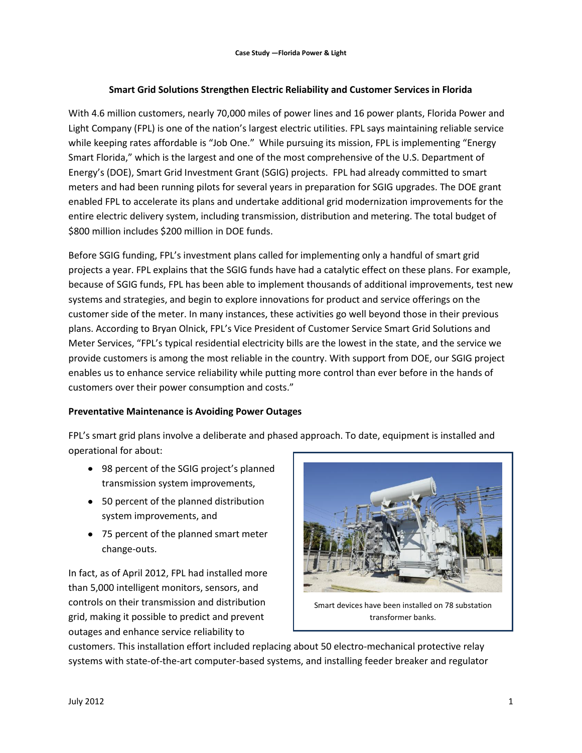# **Smart Grid Solutions Strengthen Electric Reliability and Customer Services in Florida**

With 4.6 million customers, nearly 70,000 miles of power lines and 16 power plants, Florida Power and Light Company (FPL) is one of the nation's largest electric utilities. FPL says maintaining reliable service while keeping rates affordable is "Job One." While pursuing its mission, FPL is implementing "Energy Smart Florida," which is the largest and one of the most comprehensive of the U.S. Department of Energy's (DOE), Smart Grid Investment Grant (SGIG) projects. FPL had already committed to smart meters and had been running pilots for several years in preparation for SGIG upgrades. The DOE grant enabled FPL to accelerate its plans and undertake additional grid modernization improvements for the entire electric delivery system, including transmission, distribution and metering. The total budget of \$800 million includes \$200 million in DOE funds.

Before SGIG funding, FPL's investment plans called for implementing only a handful of smart grid projects a year. FPL explains that the SGIG funds have had a catalytic effect on these plans. For example, because of SGIG funds, FPL has been able to implement thousands of additional improvements, test new systems and strategies, and begin to explore innovations for product and service offerings on the customer side of the meter. In many instances, these activities go well beyond those in their previous plans. According to Bryan Olnick, FPL's Vice President of Customer Service Smart Grid Solutions and Meter Services, "FPL's typical residential electricity bills are the lowest in the state, and the service we provide customers is among the most reliable in the country. With support from DOE, our SGIG project enables us to enhance service reliability while putting more control than ever before in the hands of customers over their power consumption and costs."

### **Preventative Maintenance is Avoiding Power Outages**

FPL's smart grid plans involve a deliberate and phased approach. To date, equipment is installed and operational for about:

- 98 percent of the SGIG project's planned transmission system improvements,
- 50 percent of the planned distribution system improvements, and
- 75 percent of the planned smart meter change-outs.

In fact, as of April 2012, FPL had installed more than 5,000 intelligent monitors, sensors, and controls on their transmission and distribution grid, making it possible to predict and prevent outages and enhance service reliability to



Smart devices have been installed on 78 substation transformer banks.

customers. This installation effort included replacing about 50 electro-mechanical protective relay systems with state-of-the-art computer-based systems, and installing feeder breaker and regulator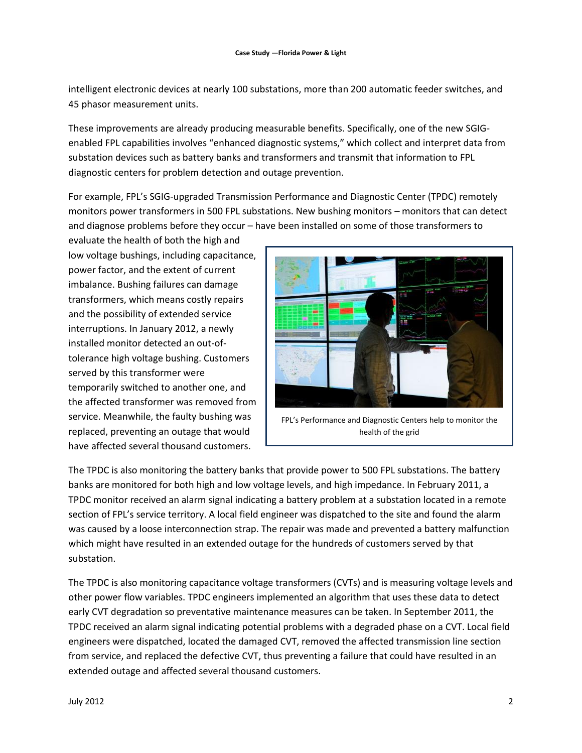intelligent electronic devices at nearly 100 substations, more than 200 automatic feeder switches, and 45 phasor measurement units.

These improvements are already producing measurable benefits. Specifically, one of the new SGIGenabled FPL capabilities involves "enhanced diagnostic systems," which collect and interpret data from substation devices such as battery banks and transformers and transmit that information to FPL diagnostic centers for problem detection and outage prevention.

For example, FPL's SGIG-upgraded Transmission Performance and Diagnostic Center (TPDC) remotely monitors power transformers in 500 FPL substations. New bushing monitors – monitors that can detect and diagnose problems before they occur – have been installed on some of those transformers to

evaluate the health of both the high and low voltage bushings, including capacitance, power factor, and the extent of current imbalance. Bushing failures can damage transformers, which means costly repairs and the possibility of extended service interruptions. In January 2012, a newly installed monitor detected an out-oftolerance high voltage bushing. Customers served by this transformer were temporarily switched to another one, and the affected transformer was removed from service. Meanwhile, the faulty bushing was replaced, preventing an outage that would have affected several thousand customers.



The TPDC is also monitoring the battery banks that provide power to 500 FPL substations. The battery banks are monitored for both high and low voltage levels, and high impedance. In February 2011, a TPDC monitor received an alarm signal indicating a battery problem at a substation located in a remote section of FPL's service territory. A local field engineer was dispatched to the site and found the alarm was caused by a loose interconnection strap. The repair was made and prevented a battery malfunction which might have resulted in an extended outage for the hundreds of customers served by that substation.

The TPDC is also monitoring capacitance voltage transformers (CVTs) and is measuring voltage levels and other power flow variables. TPDC engineers implemented an algorithm that uses these data to detect early CVT degradation so preventative maintenance measures can be taken. In September 2011, the TPDC received an alarm signal indicating potential problems with a degraded phase on a CVT. Local field engineers were dispatched, located the damaged CVT, removed the affected transmission line section from service, and replaced the defective CVT, thus preventing a failure that could have resulted in an extended outage and affected several thousand customers.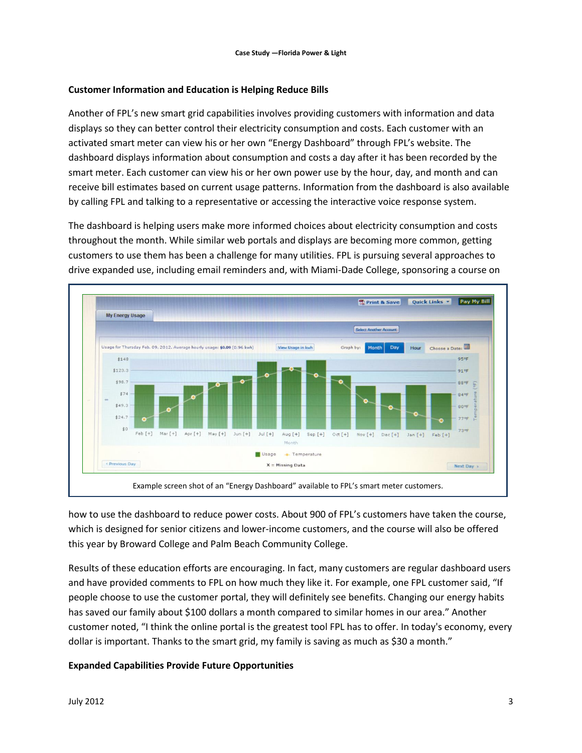## **Customer Information and Education is Helping Reduce Bills**

Another of FPL's new smart grid capabilities involves providing customers with information and data displays so they can better control their electricity consumption and costs. Each customer with an activated smart meter can view his or her own "Energy Dashboard" through FPL's website. The dashboard displays information about consumption and costs a day after it has been recorded by the smart meter. Each customer can view his or her own power use by the hour, day, and month and can receive bill estimates based on current usage patterns. Information from the dashboard is also available by calling FPL and talking to a representative or accessing the interactive voice response system.

The dashboard is helping users make more informed choices about electricity consumption and costs throughout the month. While similar web portals and displays are becoming more common, getting customers to use them has been a challenge for many utilities. FPL is pursuing several approaches to drive expanded use, including email reminders and, with Miami-Dade College, sponsoring a course on



how to use the dashboard to reduce power costs. About 900 of FPL's customers have taken the course, which is designed for senior citizens and lower-income customers, and the course will also be offered this year by Broward College and Palm Beach Community College.

Results of these education efforts are encouraging. In fact, many customers are regular dashboard users and have provided comments to FPL on how much they like it. For example, one FPL customer said, "If people choose to use the customer portal, they will definitely see benefits. Changing our energy habits has saved our family about \$100 dollars a month compared to similar homes in our area." Another customer noted, "I think the online portal is the greatest tool FPL has to offer. In today's economy, every dollar is important. Thanks to the smart grid, my family is saving as much as \$30 a month."

### **Expanded Capabilities Provide Future Opportunities**